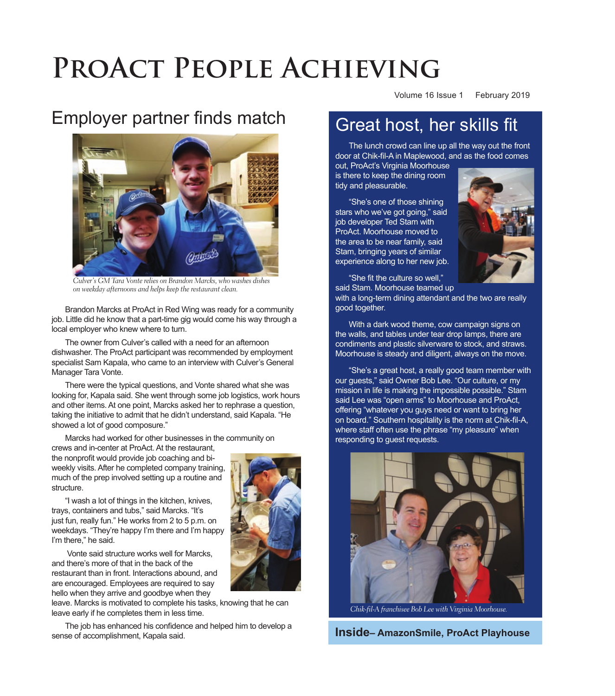# PROACT PEOPLE ACHIEVING

# Employer partner finds match



Culver's GM Tara Vonte relies on Brandon Marcks, who washes dishes on weekday afternoons and helps keep the restaurant clean.

Brandon Marcks at ProAct in Red Wing was ready for a community job. Little did he know that a part-time gig would come his way through a local employer who knew where to turn.

The owner from Culver's called with a need for an afternoon dishwasher. The ProAct participant was recommended by employment specialist Sam Kapala, who came to an interview with Culver's General Manager Tara Vonte.

There were the typical questions, and Vonte shared what she was looking for, Kapala said. She went through some job logistics, work hours and other items. At one point, Marcks asked her to rephrase a question, taking the initiative to admit that he didn't understand, said Kapala. "He showed a lot of good composure."

Marcks had worked for other businesses in the community on crews and in-center at ProAct. At the restaurant,

the nonprofit would provide job coaching and biweekly visits. After he completed company training, much of the prep involved setting up a routine and structure.

"I wash a lot of things in the kitchen, knives, trays, containers and tubs," said Marcks. "It's just fun, really fun." He works from 2 to 5 p.m. on weekdays. "They're happy I'm there and I'm happy I'm there," he said.

Vonte said structure works well for Marcks, and there's more of that in the back of the restaurant than in front. Interactions abound, and are encouraged. Employees are required to say hello when they arrive and goodbye when they

leave. Marcks is motivated to complete his tasks, knowing that he can leave early if he completes them in less time.

The job has enhanced his confidence and helped him to develop a sense of accomplishment, Kapala said.

Volume 16 Issue 1 February 2019

# Great host, her skills fit

The lunch crowd can line up all the way out the front door at Chik-fil-A in Maplewood, and as the food comes

out, ProAct's Virginia Moorhouse is there to keep the dining room tidy and pleasurable.

"8he's one of those shining stars who we've got going," said job developer Ted Stam with ProAct. Moorhouse moved to the area to be near family, said Stam, bringing years of similar experience along to her new job.



"She fit the culture so well." said Stam. Moorhouse teamed up

with a long-term dining attendant and the two are really good together.

Moorhouse is steady and diligent, always on the move. With a dark wood theme, cow campaign signs on the walls, and tables under tear drop lamps, there are condiments and plastic silverware to stock, and straws.

"She's a great host, a really good team member with our guests," said Owner Bob Lee. "Our culture, or my mission in life is making the impossible possible." 8tam said Lee was "open arms" to Moorhouse and ProAct, offering "whatever you guys need or want to bring her on board." Southern hospitality is the norm at Chik-fil-A, where staff often use the phrase "my pleasure" when responding to guest requests.



Chik-fil-A franchisee Bob Lee with Virginia Moorhouse.

**Inside– AmazonSmile, ProAct Playhouse**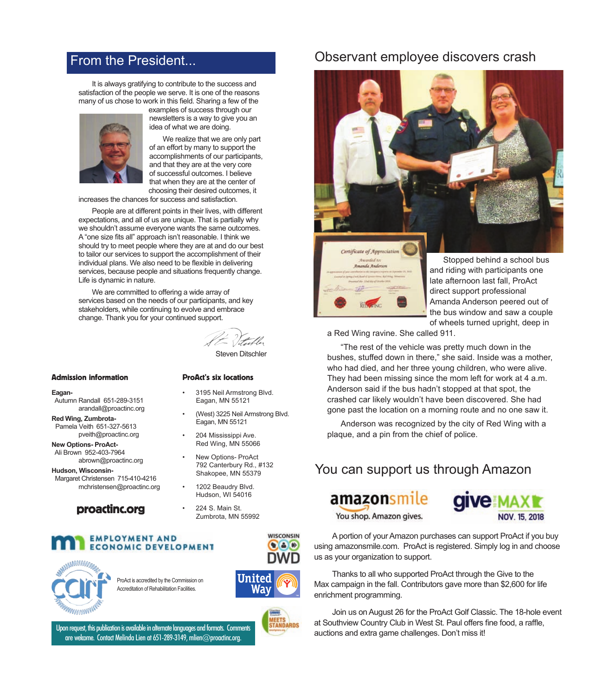### From the President...

It is always gratifying to contribute to the success and satisfaction of the people we serve. It is one of the reasons many of us chose to work in this field. Sharing a few of the



examples of success through our newsletters is a way to give you an idea of what we are doing.

We realize that we are only part of an effort by many to support the accomplishments of our participants, and that they are at the very core of successful outcomes. I believe that when they are at the center of choosing their desired outcomes, it

increases the chances for success and satisfaction.

People are at different points in their lives, with different expectations, and all of us are unique. That is partially why we shouldn't assume everyone wants the same outcomes. A "one size fits all" approach isn't reasonable. I think we should try to meet people where they are at and do our best to tailor our services to support the accomplishment of their individual plans. We also need to be flexible in delivering services, because people and situations frequently change. Life is dynamic in nature.

We are committed to offering a wide array of services based on the needs of our participants, and key stakeholders, while continuing to evolve and embrace change. Thank you for your continued support.

**Steven Ditschler** 

3195 Neil Armstrong Blvd.

(West) 3225 Neil Armstrong Blvd.

#### **Admission information**

- Eagan-
- Autumn Randall 651-289-3151 arandall@proactinc.org

Red Wing, Zumbrota-Pamela Veith 651-327-5613 pveith@proactinc.org

**New Options-ProAct-**Ali Brown 952-403-7964 abrown@proactinc.org

Hudson, Wisconsin-Margaret Christensen 715-410-4216 mchristensen@proactinc.org

#### proactinc.org

#### New Options- ProAct 792 Canterbury Rd., #132

1202 Beaudry Blvd. Hudson, WI 54016

**ProAct's six locations** 

Eagan, MN 55121

Eagan, MN 55121

204 Mississippi Ave. Red Wing, MN 55066

224 S. Main St. Zumbrota, MN 55992

Shakopee, MN 55379

#### **EMPLOYMENT AND ECONOMIC DEVELOPMENT**



ProAct is accredited by the Commission on Accreditation of Rehabilitation Facilities.



WISCONSIN

 $\bullet$   $\bullet$   $\circ$ 



Upon request, this publication is available in alternate languages and formats. Comments are welcome. Contact Melinda Lien at 651-289-3149, mlien@proactinc.org.

### Observant employee discovers crash





and riding with participants one late afternoon last fall, ProAct direct support professional Amanda Anderson peered out of the bus window and saw a couple of wheels turned upright, deep in

a Red Wing ravine. She called 911.

"The rest of the vehicle was pretty much down in the bushes, stuffed down in there," she said. Inside was a mother, who had died, and her three young children, who were alive. They had been missing since the mom left for work at 4 a.m. Anderson said if the bus hadn't stopped at that spot, the crashed car likely wouldn't have been discovered. She had gone past the location on a morning route and no one saw it.

Anderson was recognized by the city of Red Wing with a plaque, and a pin from the chief of police.

### You can support us through Amazon

### amazonsmile You shop. Amazon gives.



A portion of your Amazon purchases can support ProAct if you buy using amazonsmile.com. ProAct is registered. Simply log in and choose us as your organization to support.

Thanks to all who supported ProAct through the Give to the Max campaign in the fall. Contributors gave more than \$2,600 for life enrichment programming.

Join us on August 26 for the ProAct Golf Classic. The 18-hole event at Southview Country Club in West St. Paul offers fine food, a raffle, auctions and extra game challenges. Don't miss it!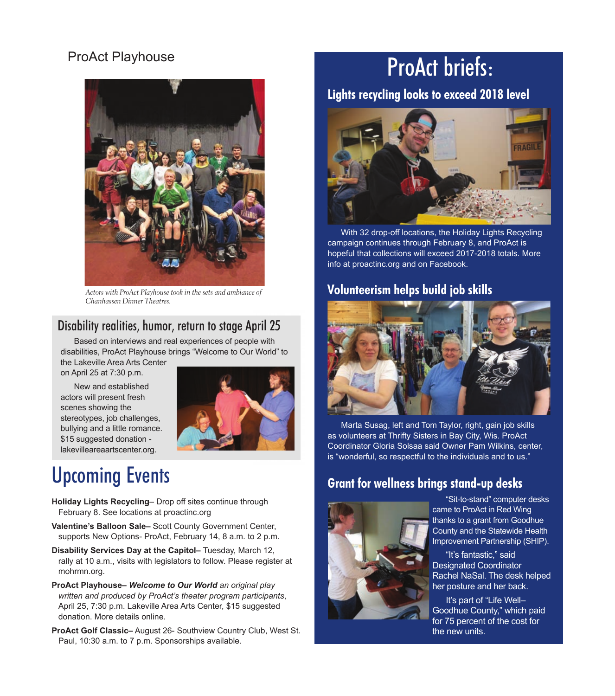# **ProAct Playhouse**



Actors with ProAct Playhouse took in the sets and ambiance of Chanhassen Dinner Theatres.

# Disability realities, humor, return to stage April 25

Based on interviews and real experiences of people with disabilities, ProAct Playhouse brings "Welcome to Our World" to

the Lakeville Area Arts Center on April 25 at 7:30 p.m.

 15 suggested donation - New and established actors will present fresh scenes showing the stereotypes, job challenges, bullying and a little romance. lakevilleareaartscenter.org.



# Upcoming Events

**Holiday Lights Recycling**– Drop off sites continue through February 8. See locations at proactinc.org

- Valentine's Balloon Sale-Scott County Government Center, supports New Options- ProAct, February 14, 8 a.m. to 2 p.m.
- **Disability Services Day at the Capitol– Tuesday, March 12,** rally at 10 a.m., visits with legislators to follow. Please register at mohrmn.org.
- **ProAct Playhouse–** *Welcome to Our World an original play written and produced by ProAct's theater program participants*, April 25, 7:30 p.m. Lakeville Area Arts Center, \$15 suggested donation. More details online.

**ProAct Golf Classic– August 26- Southview Country Club, West St.** Paul, 10:30 a.m. to 7 p.m. Sponsorships available.

# ProAct briefs:

# **Lights recycling looks to exceed 2018 level**



With 32 drop-off locations, the Holiday Lights Recycling campaign continues through February 8, and ProAct is hopeful that collections will exceed 2017-2018 totals. More info at proactinc.org and on Facebook.

## **Volunteerism helps build job skills**



Marta Susag, left and Tom Taylor, right, gain job skills as volunteers at Thrifty Sisters in Bay City, Wis. ProAct Coordinator Gloria Solsaa said Owner Pam Wilkins, center, is "wonderful, so respectful to the individuals and to us."

## **Grant for wellness brings stand-up desks**



"8it-to-stand" computer desks came to ProAct in Red Wing thanks to a grant from Goodhue County and the Statewide Health Improvement Partnership (SHIP).

"It's fantastic," said **Designated Coordinator** Rachel NaSal. The desk helped her posture and her back.

It's part of "Life Well-Goodhue County," which paid for 75 percent of the cost for the new units.